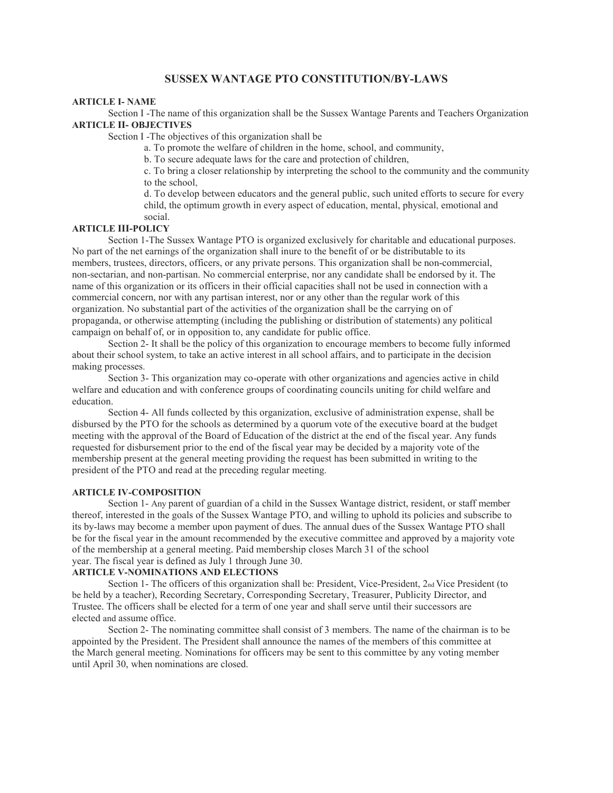# **SUSSEX WANTAGE PTO CONSTITUTION/BY-LAWS**

#### **ARTICLE I- NAME**

Section I -The name of this organization shall be the Sussex Wantage Parents and Teachers Organization **ARTICLE II- OBJECTIVES**

Section I -The objectives of this organization shall be

a. To promote the welfare of children in the home, school, and community,

b. To secure adequate laws for the care and protection of children,

c. To bring a closer relationship by interpreting the school to the community and the community to the school,

d. To develop between educators and the general public, such united efforts to secure for every child, the optimum growth in every aspect of education, mental, physical, emotional and social.

### **ARTICLE III-POLICY**

Section 1-The Sussex Wantage PTO is organized exclusively for charitable and educational purposes. No part of the net earnings of the organization shall inure to the benefit of or be distributable to its members, trustees, directors, officers, or any private persons. This organization shall be non-commercial, non-sectarian, and non-partisan. No commercial enterprise, nor any candidate shall be endorsed by it. The name of this organization or its officers in their official capacities shall not be used in connection with a commercial concern, nor with any partisan interest, nor or any other than the regular work of this organization. No substantial part of the activities of the organization shall be the carrying on of propaganda, or otherwise attempting (including the publishing or distribution of statements) any political campaign on behalf of, or in opposition to, any candidate for public office.

Section 2- It shall be the policy of this organization to encourage members to become fully informed about their school system, to take an active interest in all school affairs, and to participate in the decision making processes.

Section 3- This organization may co-operate with other organizations and agencies active in child welfare and education and with conference groups of coordinating councils uniting for child welfare and education.

Section 4- All funds collected by this organization, exclusive of administration expense, shall be disbursed by the PTO for the schools as determined by a quorum vote of the executive board at the budget meeting with the approval of the Board of Education of the district at the end of the fiscal year. Any funds requested for disbursement prior to the end of the fiscal year may be decided by a majority vote of the membership present at the general meeting providing the request has been submitted in writing to the president of the PTO and read at the preceding regular meeting.

#### **ARTICLE IV-COMPOSITION**

Section 1- Any parent of guardian of a child in the Sussex Wantage district, resident, or staff member thereof, interested in the goals of the Sussex Wantage PTO, and willing to uphold its policies and subscribe to its by-laws may become a member upon payment of dues. The annual dues of the Sussex Wantage PTO shall be for the fiscal year in the amount recommended by the executive committee and approved by a majority vote of the membership at a general meeting. Paid membership closes March 31 of the school year. The fiscal year is defined as July 1 through June 30.

### **ARTICLE V-NOMINATIONS AND ELECTIONS**

Section 1- The officers of this organization shall be: President, Vice-President, 2nd Vice President (to be held by a teacher), Recording Secretary, Corresponding Secretary, Treasurer, Publicity Director, and Trustee. The officers shall be elected for a term of one year and shall serve until their successors are elected and assume office.

Section 2- The nominating committee shall consist of 3 members. The name of the chairman is to be appointed by the President. The President shall announce the names of the members of this committee at the March general meeting. Nominations for officers may be sent to this committee by any voting member until April 30, when nominations are closed.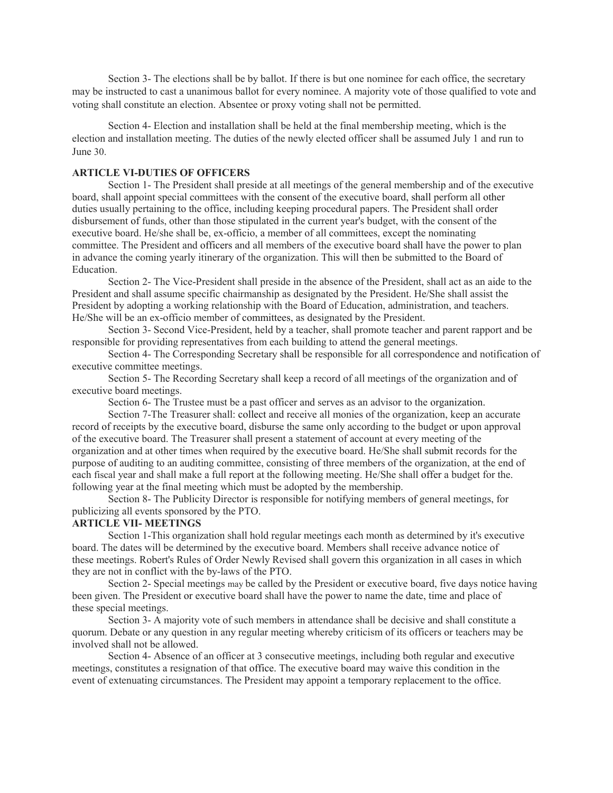Section 3- The elections shall be by ballot. If there is but one nominee for each office, the secretary may be instructed to cast a unanimous ballot for every nominee. A majority vote of those qualified to vote and voting shall constitute an election. Absentee or proxy voting shall not be permitted.

Section 4- Election and installation shall be held at the final membership meeting, which is the election and installation meeting. The duties of the newly elected officer shall be assumed July 1 and run to June 30.

# **ARTICLE VI-DUTIES OF OFFICERS**

Section 1- The President shall preside at all meetings of the general membership and of the executive board, shall appoint special committees with the consent of the executive board, shall perform all other duties usually pertaining to the office, including keeping procedural papers. The President shall order disbursement of funds, other than those stipulated in the current year's budget, with the consent of the executive board. He/she shall be, ex-officio, a member of all committees, except the nominating committee. The President and officers and all members of the executive board shall have the power to plan in advance the coming yearly itinerary of the organization. This will then be submitted to the Board of Education.

Section 2- The Vice-President shall preside in the absence of the President, shall act as an aide to the President and shall assume specific chairmanship as designated by the President. He/She shall assist the President by adopting a working relationship with the Board of Education, administration, and teachers. He/She will be an ex-officio member of committees, as designated by the President.

Section 3- Second Vice-President, held by a teacher, shall promote teacher and parent rapport and be responsible for providing representatives from each building to attend the general meetings.

Section 4- The Corresponding Secretary shall be responsible for all correspondence and notification of executive committee meetings.

Section 5- The Recording Secretary shall keep a record of all meetings of the organization and of executive board meetings.

Section 6- The Trustee must be a past officer and serves as an advisor to the organization.

Section 7-The Treasurer shall: collect and receive all monies of the organization, keep an accurate record of receipts by the executive board, disburse the same only according to the budget or upon approval of the executive board. The Treasurer shall present a statement of account at every meeting of the organization and at other times when required by the executive board. He/She shall submit records for the purpose of auditing to an auditing committee, consisting of three members of the organization, at the end of each fiscal year and shall make a full report at the following meeting. He/She shall offer a budget for the. following year at the final meeting which must be adopted by the membership.

Section 8- The Publicity Director is responsible for notifying members of general meetings, for publicizing all events sponsored by the PTO.

# **ARTICLE VII- MEETINGS**

Section 1-This organization shall hold regular meetings each month as determined by it's executive board. The dates will be determined by the executive board. Members shall receive advance notice of these meetings. Robert's Rules of Order Newly Revised shall govern this organization in all cases in which they are not in conflict with the by-laws of the PTO.

Section 2- Special meetings may be called by the President or executive board, five days notice having been given. The President or executive board shall have the power to name the date, time and place of these special meetings.

Section 3- A majority vote of such members in attendance shall be decisive and shall constitute a quorum. Debate or any question in any regular meeting whereby criticism of its officers or teachers may be involved shall not be allowed.

Section 4- Absence of an officer at 3 consecutive meetings, including both regular and executive meetings, constitutes a resignation of that office. The executive board may waive this condition in the event of extenuating circumstances. The President may appoint a temporary replacement to the office.